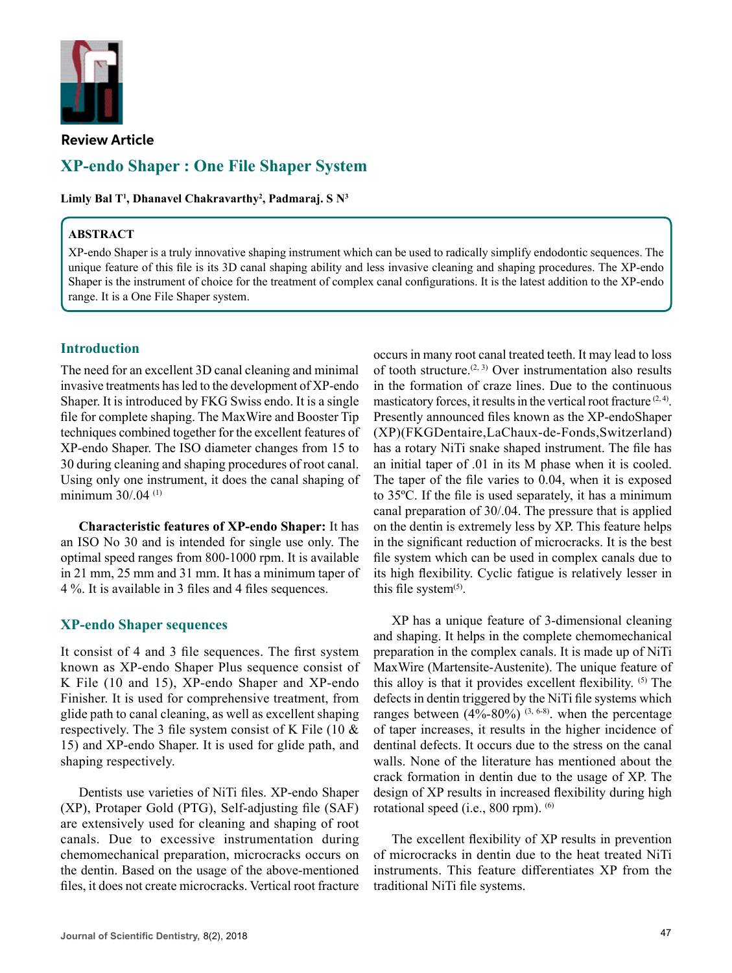

**Review Article**

# **XP-endo Shaper : One File Shaper System**

**Limly Bal T<sup>1</sup> , Dhanavel Chakravarthy2 , Padmaraj. S N3**

#### **ABSTRACT**

XP-endo Shaper is a truly innovative shaping instrument which can be used to radically simplify endodontic sequences. The unique feature of this file is its 3D canal shaping ability and less invasive cleaning and shaping procedures. The XP-endo Shaper is the instrument of choice for the treatment of complex canal configurations. It is the latest addition to the XP-endo range. It is a One File Shaper system.

# **Introduction**

The need for an excellent 3D canal cleaning and minimal invasive treatments has led to the development of XP-endo Shaper. It is introduced by FKG Swiss endo. It is a single file for complete shaping. The MaxWire and Booster Tip techniques combined together for the excellent features of XP-endo Shaper. The ISO diameter changes from 15 to 30 during cleaning and shaping procedures of root canal. Using only one instrument, it does the canal shaping of minimum 30/.04 (1)

**Characteristic features of XP-endo Shaper:** It has an ISO No 30 and is intended for single use only. The optimal speed ranges from 800-1000 rpm. It is available in 21 mm, 25 mm and 31 mm. It has a minimum taper of 4 %. It is available in 3 files and 4 files sequences.

### **XP-endo Shaper sequences**

It consist of 4 and 3 file sequences. The first system known as XP-endo Shaper Plus sequence consist of K File (10 and 15), XP-endo Shaper and XP-endo Finisher. It is used for comprehensive treatment, from glide path to canal cleaning, as well as excellent shaping respectively. The 3 file system consist of K File (10 & 15) and XP-endo Shaper. It is used for glide path, and shaping respectively.

Dentists use varieties of NiTi files. XP-endo Shaper (XP), Protaper Gold (PTG), Self-adjusting file (SAF) are extensively used for cleaning and shaping of root canals. Due to excessive instrumentation during chemomechanical preparation, microcracks occurs on the dentin. Based on the usage of the above-mentioned files, it does not create microcracks. Vertical root fracture occurs in many root canal treated teeth. It may lead to loss of tooth structure.<sup> $(2, 3)$ </sup> Over instrumentation also results in the formation of craze lines. Due to the continuous masticatory forces, it results in the vertical root fracture  $(2, 4)$ . Presently announced files known as the XP-endoShaper (XP)(FKGDentaire,LaChaux-de-Fonds,Switzerland) has a rotary NiTi snake shaped instrument. The file has an initial taper of .01 in its M phase when it is cooled. The taper of the file varies to 0.04, when it is exposed to 35ºC. If the file is used separately, it has a minimum canal preparation of 30/.04. The pressure that is applied on the dentin is extremely less by XP. This feature helps in the significant reduction of microcracks. It is the best file system which can be used in complex canals due to its high flexibility. Cyclic fatigue is relatively lesser in this file system $(5)$ .

XP has a unique feature of 3-dimensional cleaning and shaping. It helps in the complete chemomechanical preparation in the complex canals. It is made up of NiTi MaxWire (Martensite-Austenite). The unique feature of this alloy is that it provides excellent flexibility. (5) The defects in dentin triggered by the NiTi file systems which ranges between  $(4\% - 80\%)$  (3, 6-8). when the percentage of taper increases, it results in the higher incidence of dentinal defects. It occurs due to the stress on the canal walls. None of the literature has mentioned about the crack formation in dentin due to the usage of XP. The design of XP results in increased flexibility during high rotational speed (i.e., 800 rpm). <sup>(6)</sup>

The excellent flexibility of XP results in prevention of microcracks in dentin due to the heat treated NiTi instruments. This feature differentiates XP from the traditional NiTi file systems.